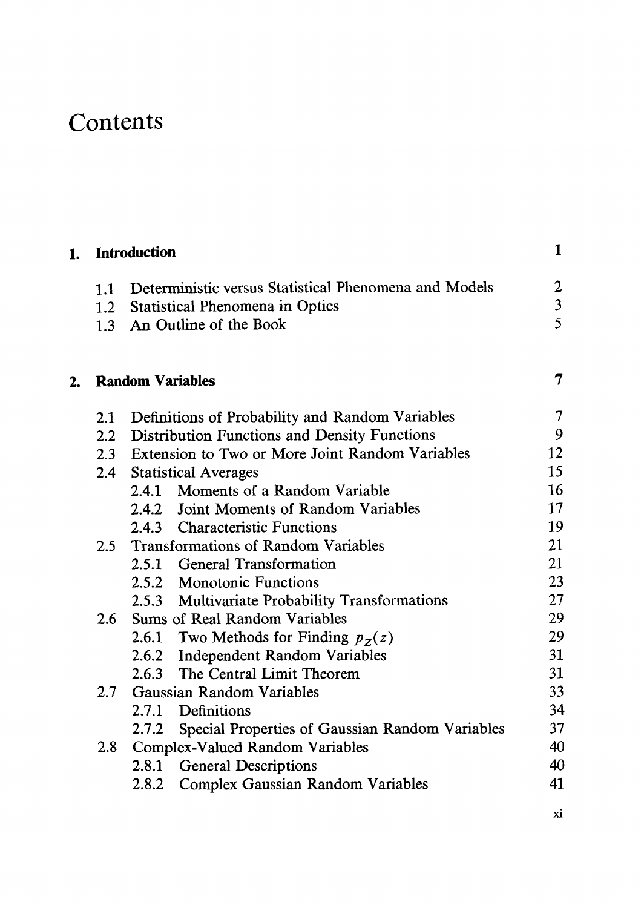## Contents

| 1. | <b>Introduction</b>     |       |                                                           | 1                       |
|----|-------------------------|-------|-----------------------------------------------------------|-------------------------|
|    |                         |       | 1.1 Deterministic versus Statistical Phenomena and Models | $\boldsymbol{2}$        |
|    |                         |       | 1.2 Statistical Phenomena in Optics                       | $\overline{\mathbf{3}}$ |
|    |                         |       | 1.3 An Outline of the Book                                | $\overline{5}$          |
| 2. | <b>Random Variables</b> |       |                                                           |                         |
|    | 2.1                     |       | Definitions of Probability and Random Variables           | 7                       |
|    |                         |       | 2.2 Distribution Functions and Density Functions          | 9                       |
|    |                         |       | 2.3 Extension to Two or More Joint Random Variables       | 12                      |
|    |                         |       | 2.4 Statistical Averages                                  | 15                      |
|    |                         |       | 2.4.1 Moments of a Random Variable                        | 16                      |
|    |                         |       | 2.4.2 Joint Moments of Random Variables                   | 17                      |
|    |                         |       | 2.4.3 Characteristic Functions                            | 19                      |
|    | $2.5 -$                 |       | <b>Transformations of Random Variables</b>                | 21                      |
|    |                         |       | 2.5.1 General Transformation                              | 21                      |
|    |                         |       | 2.5.2 Monotonic Functions                                 | 23                      |
|    |                         |       | 2.5.3 Multivariate Probability Transformations            | 27                      |
|    | 2.6                     |       | Sums of Real Random Variables                             | 29                      |
|    |                         |       | 2.6.1 Two Methods for Finding $p_Z(z)$                    | 29                      |
|    |                         |       | 2.6.2 Independent Random Variables                        | 31                      |
|    |                         |       | 2.6.3 The Central Limit Theorem                           | 31                      |
|    | 2.7                     |       | Gaussian Random Variables                                 | 33                      |
|    |                         |       | 2.7.1 Definitions                                         | 34                      |
|    |                         |       | 2.7.2 Special Properties of Gaussian Random Variables     | 37                      |
|    | 2.8                     |       | Complex-Valued Random Variables                           | 40                      |
|    |                         | 2.8.1 | <b>General Descriptions</b>                               | 40                      |
|    |                         | 2.8.2 | <b>Complex Gaussian Random Variables</b>                  | 41                      |
|    |                         |       |                                                           |                         |

xi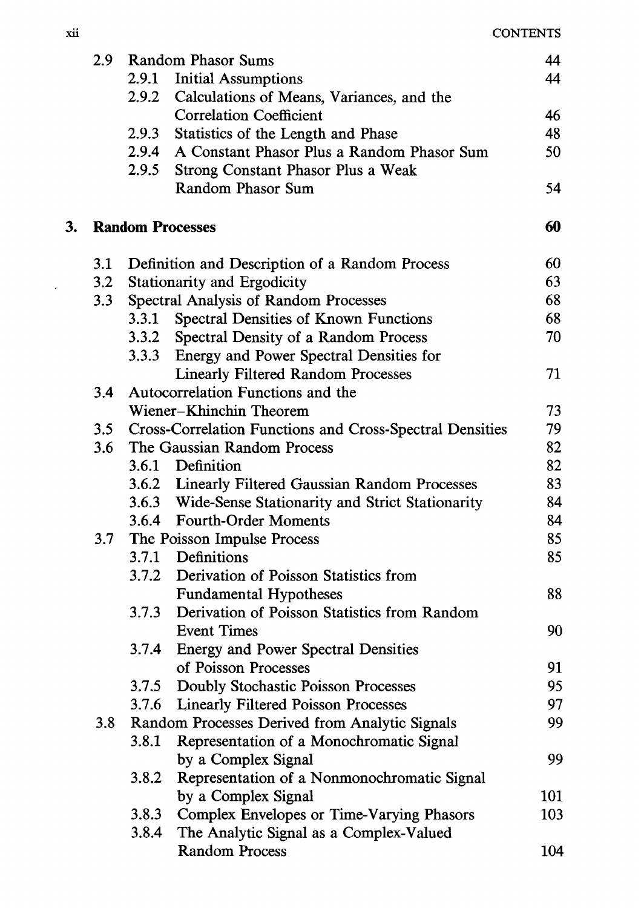|    | 2.9 |       | Random Phasor Sums                                              | 44  |
|----|-----|-------|-----------------------------------------------------------------|-----|
|    |     | 2.9.1 | <b>Initial Assumptions</b>                                      | 44  |
|    |     | 2.9.2 | Calculations of Means, Variances, and the                       |     |
|    |     |       | <b>Correlation Coefficient</b>                                  | 46  |
|    |     | 2.9.3 | Statistics of the Length and Phase                              | 48  |
|    |     | 2.9.4 | A Constant Phasor Plus a Random Phasor Sum                      | 50  |
|    |     | 2.9.5 | Strong Constant Phasor Plus a Weak                              |     |
|    |     |       | Random Phasor Sum                                               | 54  |
| 3. |     |       | <b>Random Processes</b>                                         | 60  |
|    | 3.1 |       | Definition and Description of a Random Process                  | 60  |
|    | 3.2 |       | Stationarity and Ergodicity                                     | 63  |
|    | 3.3 |       | Spectral Analysis of Random Processes                           | 68  |
|    |     | 3.3.1 | Spectral Densities of Known Functions                           | 68  |
|    |     | 3.3.2 | Spectral Density of a Random Process                            | 70  |
|    |     |       | 3.3.3 Energy and Power Spectral Densities for                   |     |
|    |     |       | <b>Linearly Filtered Random Processes</b>                       | 71  |
|    | 3.4 |       | Autocorrelation Functions and the                               |     |
|    |     |       | Wiener-Khinchin Theorem                                         | 73  |
|    | 3.5 |       | <b>Cross-Correlation Functions and Cross-Spectral Densities</b> | 79  |
|    | 3.6 |       | The Gaussian Random Process                                     | 82  |
|    |     |       | 3.6.1 Definition                                                | 82  |
|    |     |       | 3.6.2 Linearly Filtered Gaussian Random Processes               | 83  |
|    |     |       | 3.6.3 Wide-Sense Stationarity and Strict Stationarity           | 84  |
|    |     |       | 3.6.4 Fourth-Order Moments                                      | 84  |
|    | 3.7 |       | The Poisson Impulse Process                                     | 85  |
|    |     |       | 3.7.1 Definitions                                               | 85  |
|    |     |       | 3.7.2 Derivation of Poisson Statistics from                     |     |
|    |     |       | <b>Fundamental Hypotheses</b>                                   | 88  |
|    |     | 3.7.3 | Derivation of Poisson Statistics from Random                    |     |
|    |     |       | <b>Event Times</b>                                              | 90  |
|    |     | 3.7.4 | <b>Energy and Power Spectral Densities</b>                      |     |
|    |     |       | of Poisson Processes                                            | 91  |
|    |     |       | 3.7.5 Doubly Stochastic Poisson Processes                       | 95  |
|    |     |       | 3.7.6 Linearly Filtered Poisson Processes                       | 97  |
|    | 3.8 |       | Random Processes Derived from Analytic Signals                  | 99  |
|    |     |       | 3.8.1 Representation of a Monochromatic Signal                  |     |
|    |     |       | by a Complex Signal                                             | 99  |
|    |     | 3.8.2 | Representation of a Nonmonochromatic Signal                     |     |
|    |     |       | by a Complex Signal                                             | 101 |
|    |     | 3.8.3 | Complex Envelopes or Time-Varying Phasors                       | 103 |
|    |     | 3.8.4 | The Analytic Signal as a Complex-Valued                         |     |
|    |     |       | <b>Random Process</b>                                           | 104 |

 $\mathcal{L}^{\text{max}}$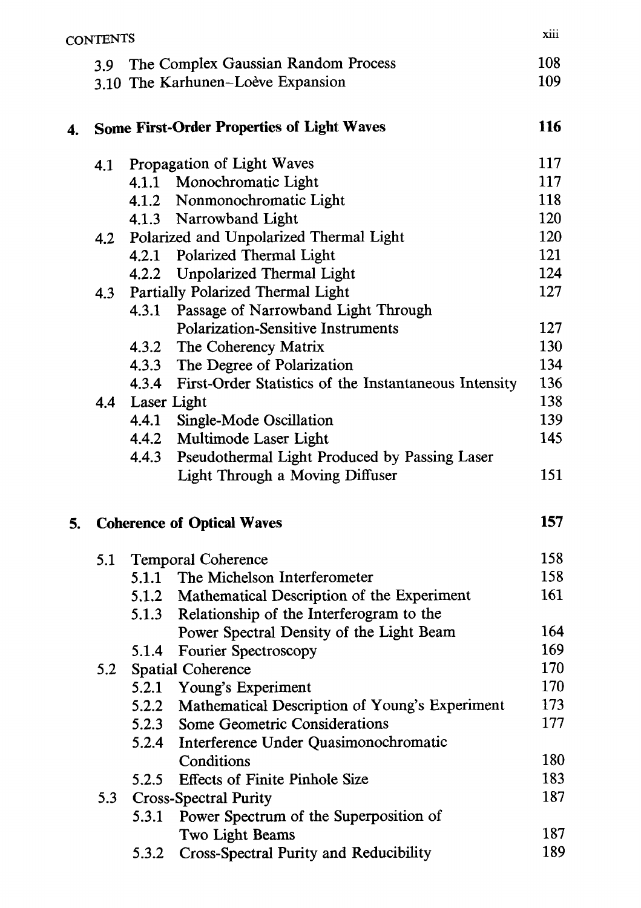|    | <b>CONTENTS</b> |                                                                          | xiii       |
|----|-----------------|--------------------------------------------------------------------------|------------|
|    | 3.9             | The Complex Gaussian Random Process<br>3.10 The Karhunen-Loève Expansion | 108<br>109 |
| 4. |                 | <b>Some First-Order Properties of Light Waves</b>                        | 116        |
|    | 4.1             | Propagation of Light Waves                                               | 117        |
|    |                 | 4.1.1 Monochromatic Light                                                | 117        |
|    |                 | 4.1.2 Nonmonochromatic Light                                             | 118        |
|    |                 | 4.1.3 Narrowband Light                                                   | 120        |
|    | 4.2             | Polarized and Unpolarized Thermal Light                                  | 120        |
|    |                 | 4.2.1 Polarized Thermal Light                                            | 121        |
|    |                 | 4.2.2 Unpolarized Thermal Light                                          | 124        |
|    | 4.3             | Partially Polarized Thermal Light                                        | 127        |
|    |                 | Passage of Narrowband Light Through<br>4.3.1                             |            |
|    |                 | <b>Polarization-Sensitive Instruments</b>                                | 127        |
|    |                 | 4.3.2 The Coherency Matrix                                               | 130        |
|    |                 | 4.3.3 The Degree of Polarization                                         | 134        |
|    |                 | 4.3.4 First-Order Statistics of the Instantaneous Intensity              | 136<br>138 |
|    | 4.4             | Laser Light<br>4.4.1 Single-Mode Oscillation                             | 139        |
|    |                 | 4.4.2 Multimode Laser Light                                              | 145        |
|    |                 | 4.4.3<br>Pseudothermal Light Produced by Passing Laser                   |            |
|    |                 | Light Through a Moving Diffuser                                          | 151        |
| 5. |                 | <b>Coherence of Optical Waves</b>                                        | 157        |
|    | 5.1             | <b>Temporal Coherence</b>                                                | 158        |
|    |                 | 5.1.1 The Michelson Interferometer                                       | 158        |
|    |                 | 5.1.2 Mathematical Description of the Experiment                         | 161        |
|    |                 | Relationship of the Interferogram to the<br>5.1.3                        |            |
|    |                 | Power Spectral Density of the Light Beam                                 | 164        |
|    |                 | Fourier Spectroscopy<br>5.1.4                                            | 169        |
|    | 5.2             | Spatial Coherence                                                        | 170        |
|    |                 | Young's Experiment<br>5.2.1                                              | 170        |
|    |                 | Mathematical Description of Young's Experiment<br>5.2.2                  | 173        |
|    |                 | Some Geometric Considerations<br>5.2.3                                   | 177        |
|    |                 | Interference Under Quasimonochromatic<br>5.2.4                           |            |
|    |                 | Conditions                                                               | 180        |
|    |                 | <b>Effects of Finite Pinhole Size</b><br>5.2.5                           | 183        |
|    | 5.3             | <b>Cross-Spectral Purity</b>                                             | 187        |
|    |                 | Power Spectrum of the Superposition of<br>5.3.1                          |            |
|    |                 | Two Light Beams                                                          | 187        |
|    |                 | Cross-Spectral Purity and Reducibility<br>5.3.2                          | 189        |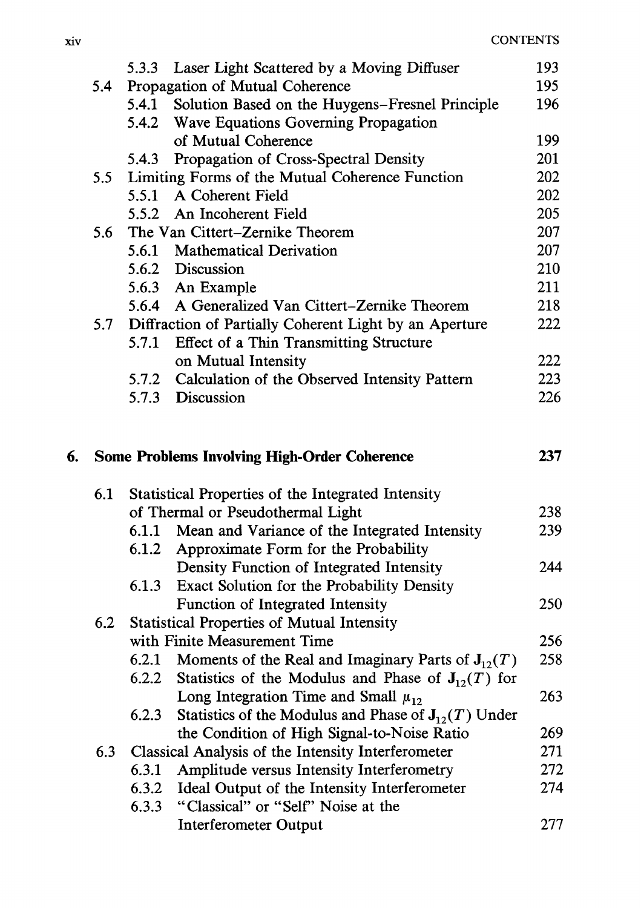|    |     | 5.3.3 | Laser Light Scattered by a Moving Diffuser               | 193. |
|----|-----|-------|----------------------------------------------------------|------|
|    | 5.4 |       | Propagation of Mutual Coherence                          | 195  |
|    |     | 5.4.1 | Solution Based on the Huygens-Fresnel Principle          | 196  |
|    |     | 5.4.2 | Wave Equations Governing Propagation                     |      |
|    |     |       | of Mutual Coherence                                      | 199  |
|    |     | 5.4.3 | Propagation of Cross-Spectral Density                    | 201  |
|    | 5.5 |       | Limiting Forms of the Mutual Coherence Function          | 202  |
|    |     |       | 5.5.1 A Coherent Field                                   | 202  |
|    |     | 5.5.2 | An Incoherent Field                                      | 205  |
|    | 5.6 |       | The Van Cittert-Zernike Theorem                          | 207  |
|    |     |       | 5.6.1 Mathematical Derivation                            | 207  |
|    |     |       | 5.6.2 Discussion                                         | 210  |
|    |     |       | 5.6.3 An Example                                         | 211  |
|    |     | 5.6.4 | A Generalized Van Cittert-Zernike Theorem                | 218  |
|    | 5.7 |       | Diffraction of Partially Coherent Light by an Aperture   | 222  |
|    |     | 5.7.1 | Effect of a Thin Transmitting Structure                  |      |
|    |     |       | on Mutual Intensity                                      | 222  |
|    |     |       | 5.7.2 Calculation of the Observed Intensity Pattern      | 223  |
|    |     | 5.7.3 | Discussion                                               | 226  |
|    |     |       |                                                          |      |
|    |     |       |                                                          |      |
| 6. |     |       | <b>Some Problems Involving High-Order Coherence</b>      | 237  |
|    |     |       |                                                          |      |
|    | 6.1 |       | Statistical Properties of the Integrated Intensity       |      |
|    |     |       | of Thermal or Pseudothermal Light                        | 238  |
|    |     | 6.1.1 | Mean and Variance of the Integrated Intensity            | 239  |
|    |     | 6.1.2 | Approximate Form for the Probability                     |      |
|    |     |       | Density Function of Integrated Intensity                 | 244  |
|    |     | 6.1.3 | Exact Solution for the Probability Density               |      |
|    |     |       | Function of Integrated Intensity                         | 250  |
|    | 6.2 |       | <b>Statistical Properties of Mutual Intensity</b>        |      |
|    |     |       | with Finite Measurement Time                             | 256  |
|    |     | 6.2.1 | Moments of the Real and Imaginary Parts of $J_{12}(T)$   | 258  |
|    |     | 6.2.2 | Statistics of the Modulus and Phase of $J_{12}(T)$ for   |      |
|    |     |       | Long Integration Time and Small $\mu_{12}$               | 263  |
|    |     | 6.2.3 | Statistics of the Modulus and Phase of $J_{12}(T)$ Under |      |
|    |     |       | the Condition of High Signal-to-Noise Ratio              | 269  |
|    | 6.3 |       | Classical Analysis of the Intensity Interferometer       | 271  |
|    |     | 6.3.1 | Amplitude versus Intensity Interferometry                | 272  |
|    |     | 6.3.2 | Ideal Output of the Intensity Interferometer             | 274  |
|    |     | 6.3.3 | "Classical" or "Self" Noise at the                       |      |
|    |     |       | <b>Interferometer Output</b>                             | 277  |

 $\ddot{\phantom{0}}$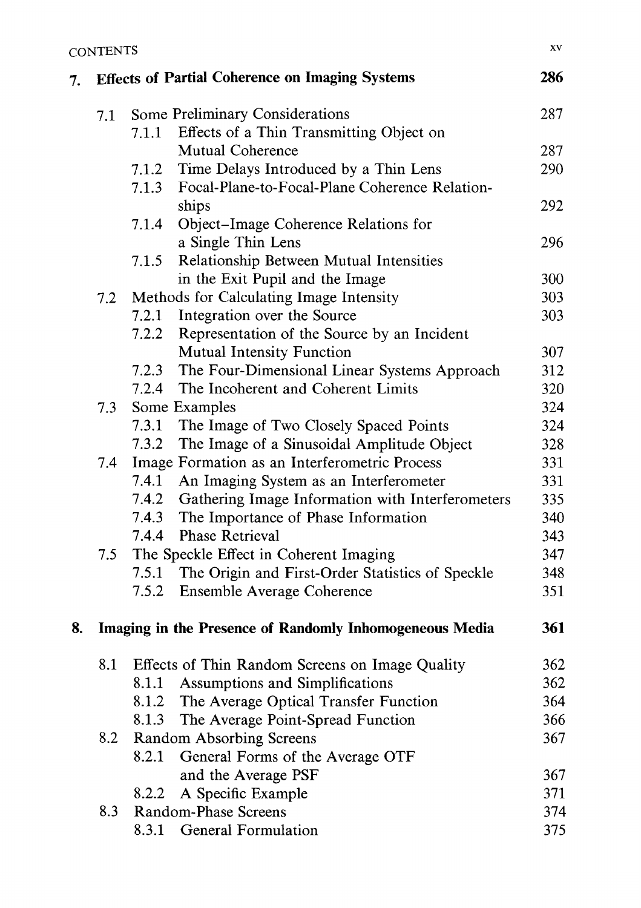| 7. |                                                         |       | <b>Effects of Partial Coherence on Imaging Systems</b> | 286 |
|----|---------------------------------------------------------|-------|--------------------------------------------------------|-----|
|    | 7.1                                                     |       | Some Preliminary Considerations                        | 287 |
|    |                                                         | 7.1.1 | Effects of a Thin Transmitting Object on               |     |
|    |                                                         |       | Mutual Coherence                                       | 287 |
|    |                                                         | 7.1.2 | Time Delays Introduced by a Thin Lens                  | 290 |
|    |                                                         | 7.1.3 | Focal-Plane-to-Focal-Plane Coherence Relation-         |     |
|    |                                                         |       | ships                                                  | 292 |
|    |                                                         | 7.1.4 | Object-Image Coherence Relations for                   |     |
|    |                                                         |       | a Single Thin Lens                                     | 296 |
|    |                                                         | 7.1.5 | Relationship Between Mutual Intensities                |     |
|    |                                                         |       | in the Exit Pupil and the Image                        | 300 |
|    | 7.2                                                     |       | Methods for Calculating Image Intensity                | 303 |
|    |                                                         | 7.2.1 | Integration over the Source                            | 303 |
|    |                                                         | 7.2.2 | Representation of the Source by an Incident            |     |
|    |                                                         |       | <b>Mutual Intensity Function</b>                       | 307 |
|    |                                                         | 7.2.3 | The Four-Dimensional Linear Systems Approach           | 312 |
|    |                                                         | 7.2.4 | The Incoherent and Coherent Limits                     | 320 |
|    | 7.3                                                     |       | Some Examples                                          | 324 |
|    |                                                         | 7.3.1 | The Image of Two Closely Spaced Points                 | 324 |
|    |                                                         | 7.3.2 | The Image of a Sinusoidal Amplitude Object             | 328 |
|    | 7.4                                                     |       | Image Formation as an Interferometric Process          | 331 |
|    |                                                         | 7.4.1 | An Imaging System as an Interferometer                 | 331 |
|    |                                                         | 7.4.2 | Gathering Image Information with Interferometers       | 335 |
|    |                                                         | 7.4.3 | The Importance of Phase Information                    | 340 |
|    |                                                         | 7.4.4 | <b>Phase Retrieval</b>                                 | 343 |
|    | 7.5                                                     |       | The Speckle Effect in Coherent Imaging                 | 347 |
|    |                                                         | 7.5.1 | The Origin and First-Order Statistics of Speckle       | 348 |
|    |                                                         | 7.5.2 | <b>Ensemble Average Coherence</b>                      | 351 |
| 8. | Imaging in the Presence of Randomly Inhomogeneous Media |       |                                                        |     |
|    | 8.1                                                     |       | Effects of Thin Random Screens on Image Quality        | 362 |
|    |                                                         | 8.1.1 | Assumptions and Simplifications                        | 362 |
|    |                                                         | 8.1.2 | The Average Optical Transfer Function                  | 364 |
|    |                                                         | 8.1.3 | The Average Point-Spread Function                      | 366 |
|    | 8.2                                                     |       | <b>Random Absorbing Screens</b>                        | 367 |
|    |                                                         | 8.2.1 | General Forms of the Average OTF                       |     |
|    |                                                         |       | and the Average PSF                                    | 367 |
|    |                                                         | 8.2.2 | A Specific Example                                     | 371 |
|    | 8.3                                                     |       | Random-Phase Screens                                   | 374 |
|    |                                                         | 8.3.1 | <b>General Formulation</b>                             | 375 |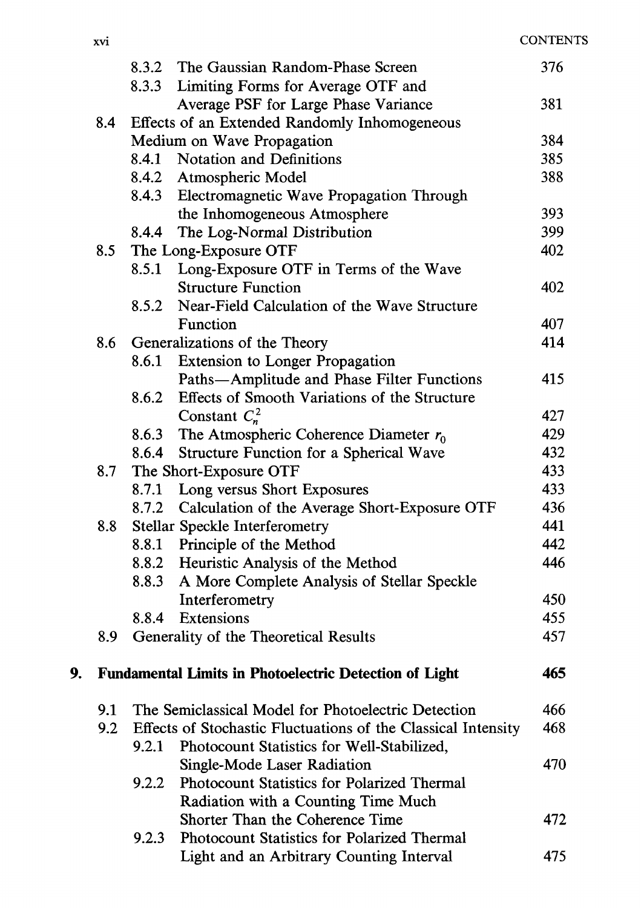|    |     | 8.3.2 | The Gaussian Random-Phase Screen                              | 376 |
|----|-----|-------|---------------------------------------------------------------|-----|
|    |     | 8.3.3 | Limiting Forms for Average OTF and                            |     |
|    |     |       | Average PSF for Large Phase Variance                          | 381 |
|    | 8.4 |       | Effects of an Extended Randomly Inhomogeneous                 |     |
|    |     |       | Medium on Wave Propagation                                    | 384 |
|    |     | 8.4.1 | <b>Notation and Definitions</b>                               | 385 |
|    |     | 8.4.2 | Atmospheric Model                                             | 388 |
|    |     | 8.4.3 | Electromagnetic Wave Propagation Through                      |     |
|    |     |       | the Inhomogeneous Atmosphere                                  | 393 |
|    |     | 8.4.4 | The Log-Normal Distribution                                   | 399 |
|    | 8.5 |       | The Long-Exposure OTF                                         | 402 |
|    |     | 8.5.1 | Long-Exposure OTF in Terms of the Wave                        |     |
|    |     |       | <b>Structure Function</b>                                     | 402 |
|    |     | 8.5.2 | Near-Field Calculation of the Wave Structure                  |     |
|    |     |       | Function                                                      | 407 |
|    | 8.6 |       | Generalizations of the Theory                                 | 414 |
|    |     | 8.6.1 | <b>Extension to Longer Propagation</b>                        |     |
|    |     |       | Paths-Amplitude and Phase Filter Functions                    | 415 |
|    |     | 8.6.2 | Effects of Smooth Variations of the Structure                 |     |
|    |     |       | Constant $C_n^2$                                              | 427 |
|    |     | 8.6.3 | The Atmospheric Coherence Diameter $r_0$                      | 429 |
|    |     | 8.6.4 | Structure Function for a Spherical Wave                       | 432 |
|    | 8.7 |       | The Short-Exposure OTF                                        | 433 |
|    |     | 8.7.1 | Long versus Short Exposures                                   | 433 |
|    |     | 8.7.2 | Calculation of the Average Short-Exposure OTF                 | 436 |
|    | 8.8 |       | <b>Stellar Speckle Interferometry</b>                         | 441 |
|    |     |       | 8.8.1 Principle of the Method                                 | 442 |
|    |     | 8.8.2 | Heuristic Analysis of the Method                              | 446 |
|    |     | 8.8.3 | A More Complete Analysis of Stellar Speckle                   |     |
|    |     |       | Interferometry                                                | 450 |
|    |     | 8.8.4 | Extensions                                                    | 455 |
|    | 8.9 |       | Generality of the Theoretical Results                         | 457 |
| 9. |     |       | <b>Fundamental Limits in Photoelectric Detection of Light</b> | 465 |
|    |     |       |                                                               |     |
|    | 9.1 |       | The Semiclassical Model for Photoelectric Detection           | 466 |
|    | 9.2 |       | Effects of Stochastic Fluctuations of the Classical Intensity | 468 |
|    |     | 9.2.1 | Photocount Statistics for Well-Stabilized,                    |     |
|    |     |       | Single-Mode Laser Radiation                                   | 470 |
|    |     | 9.2.2 | <b>Photocount Statistics for Polarized Thermal</b>            |     |
|    |     |       | Radiation with a Counting Time Much                           |     |
|    |     |       | Shorter Than the Coherence Time                               | 472 |
|    |     | 9.2.3 | Photocount Statistics for Polarized Thermal                   |     |
|    |     |       | Light and an Arbitrary Counting Interval                      | 475 |